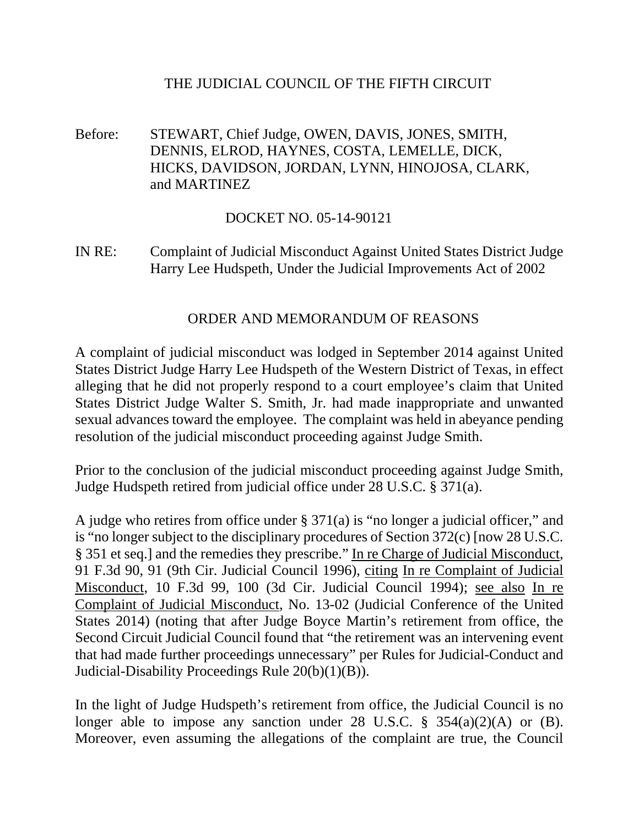## THE JUDICIAL COUNCIL OF THE FIFTH CIRCUIT

Before: STEWART, Chief Judge, OWEN, DAVIS, JONES, SMITH, DENNIS, ELROD, HAYNES, COSTA, LEMELLE, DICK, HICKS, DAVIDSON, JORDAN, LYNN, HINOJOSA, CLARK, and MARTINEZ

## DOCKET NO. 05-14-90121

IN RE: Complaint of Judicial Misconduct Against United States District Judge Harry Lee Hudspeth, Under the Judicial Improvements Act of 2002

## ORDER AND MEMORANDUM OF REASONS

A complaint of judicial misconduct was lodged in September 2014 against United States District Judge Harry Lee Hudspeth of the Western District of Texas, in effect alleging that he did not properly respond to a court employee's claim that United States District Judge Walter S. Smith, Jr. had made inappropriate and unwanted sexual advances toward the employee. The complaint was held in abeyance pending resolution of the judicial misconduct proceeding against Judge Smith.

Prior to the conclusion of the judicial misconduct proceeding against Judge Smith, Judge Hudspeth retired from judicial office under 28 U.S.C. § 371(a).

A judge who retires from office under § 371(a) is "no longer a judicial officer," and is "no longer subject to the disciplinary procedures of Section 372(c) [now 28 U.S.C. § 351 et seq.] and the remedies they prescribe." In re Charge of Judicial Misconduct, 91 F.3d 90, 91 (9th Cir. Judicial Council 1996), citing In re Complaint of Judicial Misconduct, 10 F.3d 99, 100 (3d Cir. Judicial Council 1994); see also In re Complaint of Judicial Misconduct, No. 13-02 (Judicial Conference of the United States 2014) (noting that after Judge Boyce Martin's retirement from office, the Second Circuit Judicial Council found that "the retirement was an intervening event that had made further proceedings unnecessary" per Rules for Judicial-Conduct and Judicial-Disability Proceedings Rule 20(b)(1)(B)).

In the light of Judge Hudspeth's retirement from office, the Judicial Council is no longer able to impose any sanction under 28 U.S.C.  $\S$  354(a)(2)(A) or (B). Moreover, even assuming the allegations of the complaint are true, the Council